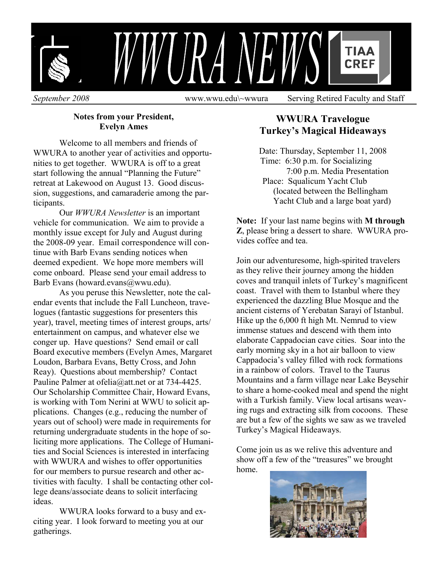

 **Notes from your President, Evelyn Ames** 

 Welcome to all members and friends of WWURA to another year of activities and opportunities to get together. WWURA is off to a great start following the annual "Planning the Future" retreat at Lakewood on August 13. Good discussion, suggestions, and camaraderie among the participants.

Our *WWURA Newsletter* is an important vehicle for communication. We aim to provide a monthly issue except for July and August during the 2008-09 year. Email correspondence will continue with Barb Evans sending notices when deemed expedient. We hope more members will come onboard. Please send your email address to Barb Evans (howard.evans@wwu.edu).

As you peruse this Newsletter, note the calendar events that include the Fall Luncheon, travelogues (fantastic suggestions for presenters this year), travel, meeting times of interest groups, arts/ entertainment on campus, and whatever else we conger up. Have questions? Send email or call Board executive members (Evelyn Ames, Margaret Loudon, Barbara Evans, Betty Cross, and John Reay). Questions about membership? Contact Pauline Palmer at ofelia@att.net or at 734-4425. Our Scholarship Committee Chair, Howard Evans, is working with Tom Nerini at WWU to solicit applications. Changes (e.g., reducing the number of years out of school) were made in requirements for returning undergraduate students in the hope of soliciting more applications. The College of Humanities and Social Sciences is interested in interfacing with WWURA and wishes to offer opportunities for our members to pursue research and other activities with faculty. I shall be contacting other college deans/associate deans to solicit interfacing ideas.

WWURA looks forward to a busy and exciting year. I look forward to meeting you at our gatherings.

# **WWURA Travelogue Turkey's Magical Hideaways**

Date: Thursday, September 11, 2008 Time: 6:30 p.m. for Socializing 7:00 p.m. Media Presentation Place: Squalicum Yacht Club (located between the Bellingham Yacht Club and a large boat yard)

**Note:** If your last name begins with **M through Z**, please bring a dessert to share. WWURA provides coffee and tea.

Join our adventuresome, high-spirited travelers as they relive their journey among the hidden coves and tranquil inlets of Turkey's magnificent coast. Travel with them to Istanbul where they experienced the dazzling Blue Mosque and the ancient cisterns of Yerebatan Sarayi of Istanbul. Hike up the 6,000 ft high Mt. Nemrud to view immense statues and descend with them into elaborate Cappadocian cave cities. Soar into the early morning sky in a hot air balloon to view Cappadocia's valley filled with rock formations in a rainbow of colors. Travel to the Taurus Mountains and a farm village near Lake Beysehir to share a home-cooked meal and spend the night with a Turkish family. View local artisans weaving rugs and extracting silk from cocoons. These are but a few of the sights we saw as we traveled Turkey's Magical Hideaways.

Come join us as we relive this adventure and show off a few of the "treasures" we brought home.

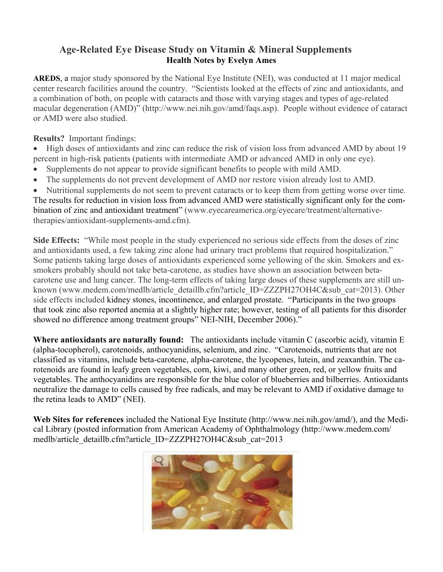# **Age-Related Eye Disease Study on Vitamin & Mineral Supplements Health Notes by Evelyn Ames**

**AREDS**, a major study sponsored by the National Eye Institute (NEI), was conducted at 11 major medical center research facilities around the country. "Scientists looked at the effects of zinc and antioxidants, and a combination of both, on people with cataracts and those with varying stages and types of age-related macular degeneration (AMD)" (http://www.nei.nih.gov/amd/faqs.asp). People without evidence of cataract or AMD were also studied.

**Results?** Important findings:

- High doses of antioxidants and zinc can reduce the risk of vision loss from advanced AMD by about 19 percent in high-risk patients (patients with intermediate AMD or advanced AMD in only one eye).
- Supplements do not appear to provide significant benefits to people with mild AMD.
- The supplements do not prevent development of AMD nor restore vision already lost to AMD.
- Nutritional supplements do not seem to prevent cataracts or to keep them from getting worse over time.

The results for reduction in vision loss from advanced AMD were statistically significant only for the combination of zinc and antioxidant treatment" (www.eyecareamerica.org/eyecare/treatment/alternativetherapies/antioxidant-supplements-amd.cfm).

**Side Effects:** "While most people in the study experienced no serious side effects from the doses of zinc and antioxidants used, a few taking zinc alone had urinary tract problems that required hospitalization." Some patients taking large doses of antioxidants experienced some yellowing of the skin. Smokers and exsmokers probably should not take beta-carotene, as studies have shown an association between betacarotene use and lung cancer. The long-term effects of taking large doses of these supplements are still unknown (www.medem.com/medlb/article\_detaillb.cfm?article\_ID=ZZZPH27OH4C&sub\_cat=2013). Other side effects included kidney stones, incontinence, and enlarged prostate. "Participants in the two groups that took zinc also reported anemia at a slightly higher rate; however, testing of all patients for this disorder showed no difference among treatment groups" NEI-NIH, December 2006)."

**Where antioxidants are naturally found:** The antioxidants include vitamin C (ascorbic acid), vitamin E (alpha-tocopherol), carotenoids, anthocyanidins, selenium, and zinc. "Carotenoids, nutrients that are not classified as vitamins, include beta-carotene, alpha-carotene, the lycopenes, lutein, and zeaxanthin. The carotenoids are found in leafy green vegetables, corn, kiwi, and many other green, red, or yellow fruits and vegetables. The anthocyanidins are responsible for the blue color of blueberries and bilberries. Antioxidants neutralize the damage to cells caused by free radicals, and may be relevant to AMD if oxidative damage to the retina leads to AMD" (NEI).

**Web Sites for references** included the National Eye Institute (http://www.nei.nih.gov/amd/), and the Medical Library (posted information from American Academy of Ophthalmology (http://www.medem.com/ medlb/article\_detaillb.cfm?article\_ID=ZZZPH27OH4C&sub\_cat=2013

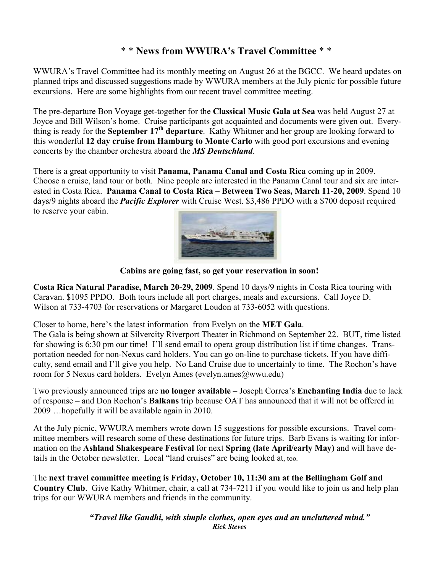# \* \* **News from WWURA's Travel Committee** \* \*

WWURA's Travel Committee had its monthly meeting on August 26 at the BGCC. We heard updates on planned trips and discussed suggestions made by WWURA members at the July picnic for possible future excursions. Here are some highlights from our recent travel committee meeting.

The pre-departure Bon Voyage get-together for the **Classical Music Gala at Sea** was held August 27 at Joyce and Bill Wilson's home. Cruise participants got acquainted and documents were given out. Everything is ready for the **September 17th departure**. Kathy Whitmer and her group are looking forward to this wonderful **12 day cruise from Hamburg to Monte Carlo** with good port excursions and evening concerts by the chamber orchestra aboard the *MS Deutschland*.

There is a great opportunity to visit **Panama, Panama Canal and Costa Rica** coming up in 2009. Choose a cruise, land tour or both. Nine people are interested in the Panama Canal tour and six are interested in Costa Rica. **Panama Canal to Costa Rica – Between Two Seas, March 11-20, 2009**. Spend 10 days/9 nights aboard the *Pacific Explorer* with Cruise West. \$3,486 PPDO with a \$700 deposit required to reserve your cabin.



 **Cabins are going fast, so get your reservation in soon!** 

**Costa Rica Natural Paradise, March 20-29, 2009**. Spend 10 days/9 nights in Costa Rica touring with Caravan. \$1095 PPDO. Both tours include all port charges, meals and excursions. Call Joyce D. Wilson at 733-4703 for reservations or Margaret Loudon at 733-6052 with questions.

Closer to home, here's the latest information from Evelyn on the **MET Gala**.

The Gala is being shown at Silvercity Riverport Theater in Richmond on September 22. BUT, time listed for showing is 6:30 pm our time! I'll send email to opera group distribution list if time changes. Transportation needed for non-Nexus card holders. You can go on-line to purchase tickets. If you have difficulty, send email and I'll give you help. No Land Cruise due to uncertainly to time. The Rochon's have room for 5 Nexus card holders. Evelyn Ames (evelyn.ames@wwu.edu)

Two previously announced trips are **no longer available** – Joseph Correa's **Enchanting India** due to lack of response – and Don Rochon's **Balkans** trip because OAT has announced that it will not be offered in 2009 …hopefully it will be available again in 2010.

At the July picnic, WWURA members wrote down 15 suggestions for possible excursions. Travel committee members will research some of these destinations for future trips. Barb Evans is waiting for information on the **Ashland Shakespeare Festival** for next **Spring (late April/early May)** and will have details in the October newsletter. Local "land cruises" are being looked at, too.

The **next travel committee meeting is Friday, October 10, 11:30 am at the Bellingham Golf and Country Club**. Give Kathy Whitmer, chair, a call at 734-7211 if you would like to join us and help plan trips for our WWURA members and friends in the community.

> *"Travel like Gandhi, with simple clothes, open eyes and an uncluttered mind." Rick Steves*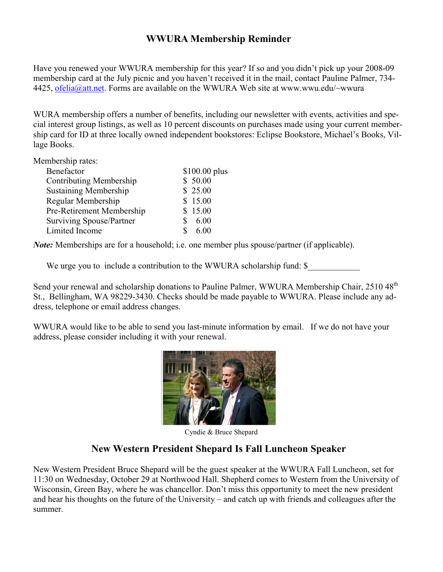# **WWURA Membership Reminder**

Have you renewed your WWURA membership for this year? If so and you didn't pick up your 2008-09 membership card at the July picnic and you haven't received it in the mail, contact Pauline Palmer, 734- 4425, ofelia@att.net. Forms are available on the WWURA Web site at www.wwu.edu/~wwura

WURA membership offers a number of benefits, including our newsletter with events, activities and special interest group listings, as well as 10 percent discounts on purchases made using your current membership card for ID at three locally owned independent bookstores: Eclipse Bookstore, Michael's Books, Village Books.

Membership rates:

| Benefactor                   | \$100.00 plus |
|------------------------------|---------------|
| Contributing Membership      | \$50.00       |
| <b>Sustaining Membership</b> | \$25.00       |
| Regular Membership           | \$15.00       |
| Pre-Retirement Membership    | \$15.00       |
| Surviving Spouse/Partner     | 6.00          |
| Limited Income               | 6.00          |
|                              |               |

*Note:* Memberships are for a household; i.e. one member plus spouse/partner (if applicable).

We urge you to include a contribution to the WWURA scholarship fund: \$

Send your renewal and scholarship donations to Pauline Palmer, WWURA Membership Chair, 2510 48<sup>th</sup> St., Bellingham, WA 98229-3430. Checks should be made payable to WWURA. Please include any address, telephone or email address changes.

WWURA would like to be able to send you last-minute information by email. If we do not have your address, please consider including it with your renewal.



Cyndie & Bruce Shepard

# **New Western President Shepard Is Fall Luncheon Speaker**

New Western President Bruce Shepard will be the guest speaker at the WWURA Fall Luncheon, set for 11:30 on Wednesday, October 29 at Northwood Hall. Shepherd comes to Western from the University of Wisconsin, Green Bay, where he was chancellor. Don't miss this opportunity to meet the new president and hear his thoughts on the future of the University – and catch up with friends and colleagues after the summer.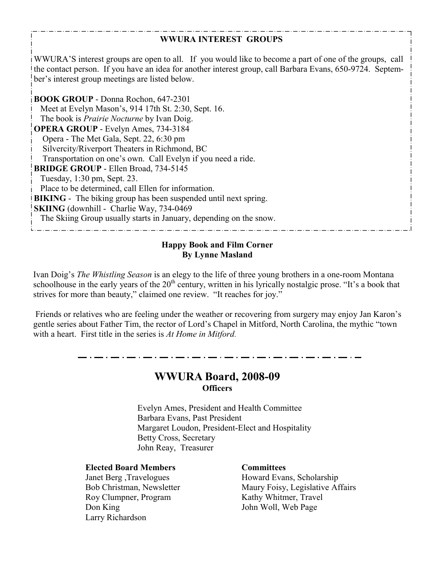#### **WWURA INTEREST GROUPS**

WWURA'S interest groups are open to all. If you would like to become a part of one of the groups, call the contact person. If you have an idea for another interest group, call Barbara Evans, 650-9724. September's interest group meetings are listed below.

**BOOK GROUP** - Donna Rochon, 647-2301 Meet at Evelyn Mason's, 914 17th St. 2:30, Sept. 16. The book is *Prairie Nocturne* by Ivan Doig. **OPERA GROUP** - Evelyn Ames, 734-3184 Opera - The Met Gala, Sept. 22, 6:30 pm Silvercity/Riverport Theaters in Richmond, BC Transportation on one's own. Call Evelyn if you need a ride. **BRIDGE GROUP** - Ellen Broad, 734-5145 Tuesday, 1:30 pm, Sept. 23. Place to be determined, call Ellen for information. **BIKING** - The biking group has been suspended until next spring. **SKIING** (downhill - Charlie Way, 734-0469) The Skiing Group usually starts in January, depending on the snow.

#### **Happy Book and Film Corner By Lynne Masland**

Ivan Doig's *The Whistling Season* is an elegy to the life of three young brothers in a one-room Montana schoolhouse in the early years of the  $20<sup>th</sup>$  century, written in his lyrically nostalgic prose. "It's a book that strives for more than beauty," claimed one review. "It reaches for joy."

 Friends or relatives who are feeling under the weather or recovering from surgery may enjoy Jan Karon's gentle series about Father Tim, the rector of Lord's Chapel in Mitford, North Carolina, the mythic "town with a heart. First title in the series is *At Home in Mitford*.

### **WWURA Board, 2008-09 Officers**

 Evelyn Ames, President and Health Committee Barbara Evans, Past President Margaret Loudon, President-Elect and Hospitality Betty Cross, Secretary John Reay, Treasurer

#### **Elected Board Members Committees**

Roy Clumpner, Program Kathy Whitmer, Travel Don King John Woll, Web Page Larry Richardson

 Janet Berg ,Travelogues Howard Evans, Scholarship Bob Christman, Newsletter Maury Foisy, Legislative Affairs